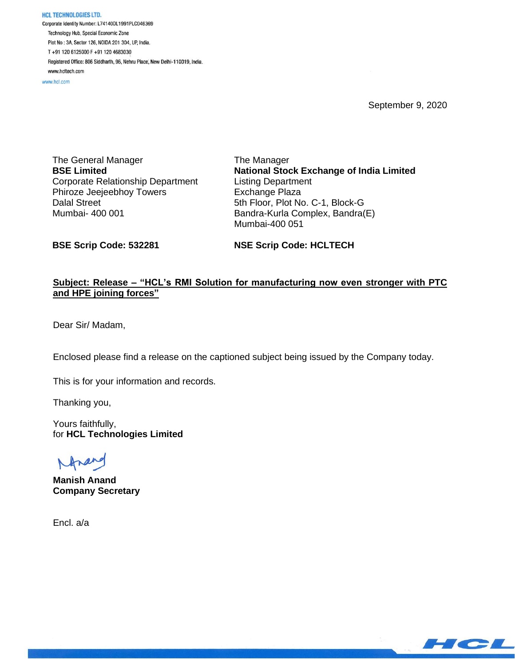**HCL TECHNOLOGIES LTD.** Corporate Identity Number: L74140DL1991PLC046369 Technology Hub, Special Economic Zone Plot No: 3A, Sector 126, NOIDA 201 304, UP, India. T+91 120 6125000 F+91 120 4683030 Registered Office: 806 Siddharth, 96, Nehru Place, New Delhi-110019, India. www.hcltech.com

www.hcl.com

September 9, 2020

The General Manager **BSE Limited** Corporate Relationship Department Phiroze Jeejeebhoy Towers Dalal Street Mumbai- 400 001

The Manager **National Stock Exchange of India Limited** Listing Department Exchange Plaza 5th Floor, Plot No. C-1, Block-G Bandra-Kurla Complex, Bandra(E) Mumbai-400 051

**BSE Scrip Code: 532281**

**NSE Scrip Code: HCLTECH**

### **Subject: Release – "HCL's RMI Solution for manufacturing now even stronger with PTC and HPE joining forces"**

Dear Sir/ Madam,

Enclosed please find a release on the captioned subject being issued by the Company today.

This is for your information and records.

Thanking you,

Yours faithfully, for **HCL Technologies Limited**

**Manish Anand Company Secretary**

Encl. a/a

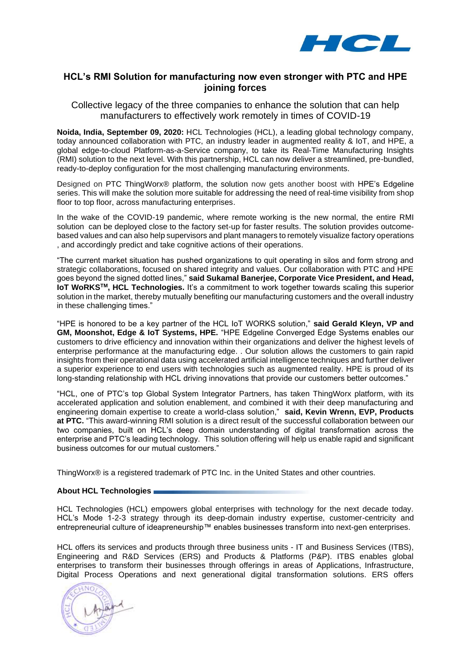

## **HCL's RMI Solution for manufacturing now even stronger with PTC and HPE joining forces**

Collective legacy of the three companies to enhance the solution that can help manufacturers to effectively work remotely in times of COVID-19

**Noida, India, September 09, 2020:** HCL Technologies (HCL), a leading global technology company, today announced collaboration with PTC, an industry leader in augmented reality & IoT, and HPE, a global edge-to-cloud Platform-as-a-Service company, to take its Real-Time Manufacturing Insights (RMI) solution to the next level. With this partnership, HCL can now deliver a streamlined, pre-bundled, ready-to-deploy configuration for the most challenging manufacturing environments.

Designed on PTC ThingWorx® platform, the solution now gets another boost with HPE's Edgeline series. This will make the solution more suitable for addressing the need of real-time visibility from shop floor to top floor, across manufacturing enterprises.

In the wake of the COVID-19 pandemic, where remote working is the new normal, the entire RMI solution can be deployed close to the factory set-up for faster results. The solution provides outcomebased values and can also help supervisors and plant managers to remotely visualize factory operations , and accordingly predict and take cognitive actions of their operations.

"The current market situation has pushed organizations to quit operating in silos and form strong and strategic collaborations, focused on shared integrity and values. Our collaboration with PTC and HPE goes beyond the signed dotted lines," **said Sukamal Banerjee, Corporate Vice President, and Head, IoT WoRKSTM, HCL Technologies.** It's a commitment to work together towards scaling this superior solution in the market, thereby mutually benefiting our manufacturing customers and the overall industry in these challenging times."

"HPE is honored to be a key partner of the HCL IoT WORKS solution," **said Gerald Kleyn, VP and GM, Moonshot, Edge & IoT Systems, HPE.** "HPE Edgeline Converged Edge Systems enables our customers to drive efficiency and innovation within their organizations and deliver the highest levels of enterprise performance at the manufacturing edge. . Our solution allows the customers to gain rapid insights from their operational data using accelerated artificial intelligence techniques and further deliver a superior experience to end users with technologies such as augmented reality. HPE is proud of its long-standing relationship with HCL driving innovations that provide our customers better outcomes."

"HCL, one of PTC's top Global System Integrator Partners, has taken ThingWorx platform, with its accelerated application and solution enablement, and combined it with their deep manufacturing and engineering domain expertise to create a world-class solution," **said, Kevin Wrenn, EVP, Products at PTC.** "This award-winning RMI solution is a direct result of the successful collaboration between our two companies, built on HCL's deep domain understanding of digital transformation across the enterprise and PTC's leading technology. This solution offering will help us enable rapid and significant business outcomes for our mutual customers."

ThingWorx® is a registered trademark of PTC Inc. in the United States and other countries.

#### **About HCL Technologies**

HCL Technologies (HCL) empowers global enterprises with technology for the next decade today. HCL's Mode 1-2-3 strategy through its deep-domain industry expertise, customer-centricity and entrepreneurial culture of ideapreneurship™ enables businesses transform into next-gen enterprises.

HCL offers its services and products through three business units - IT and Business Services (ITBS), Engineering and R&D Services (ERS) and Products & Platforms (P&P). ITBS enables global enterprises to transform their businesses through offerings in areas of Applications, Infrastructure, Digital Process Operations and next generational digital transformation solutions. ERS offers